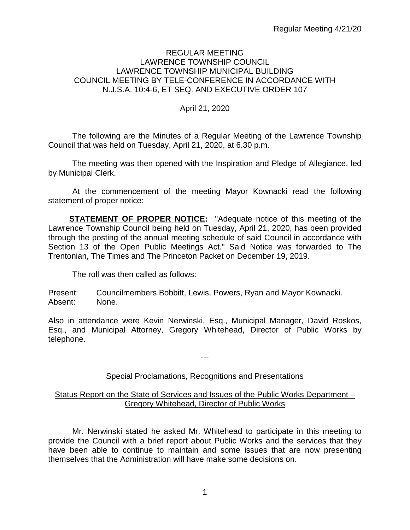### REGULAR MEETING LAWRENCE TOWNSHIP COUNCIL LAWRENCE TOWNSHIP MUNICIPAL BUILDING COUNCIL MEETING BY TELE-CONFERENCE IN ACCORDANCE WITH N.J.S.A. 10:4-6, ET SEQ. AND EXECUTIVE ORDER 107

# April 21, 2020

The following are the Minutes of a Regular Meeting of the Lawrence Township Council that was held on Tuesday, April 21, 2020, at 6.30 p.m.

The meeting was then opened with the Inspiration and Pledge of Allegiance, led by Municipal Clerk.

At the commencement of the meeting Mayor Kownacki read the following statement of proper notice:

**STATEMENT OF PROPER NOTICE:** "Adequate notice of this meeting of the Lawrence Township Council being held on Tuesday, April 21, 2020, has been provided through the posting of the annual meeting schedule of said Council in accordance with Section 13 of the Open Public Meetings Act." Said Notice was forwarded to The Trentonian, The Times and The Princeton Packet on December 19, 2019.

The roll was then called as follows:

Present: Councilmembers Bobbitt, Lewis, Powers, Ryan and Mayor Kownacki. Absent: None.

Also in attendance were Kevin Nerwinski, Esq., Municipal Manager, David Roskos, Esq., and Municipal Attorney, Gregory Whitehead, Director of Public Works by telephone.

Special Proclamations, Recognitions and Presentations

---

### Status Report on the State of Services and Issues of the Public Works Department – Gregory Whitehead, Director of Public Works

Mr. Nerwinski stated he asked Mr. Whitehead to participate in this meeting to provide the Council with a brief report about Public Works and the services that they have been able to continue to maintain and some issues that are now presenting themselves that the Administration will have make some decisions on.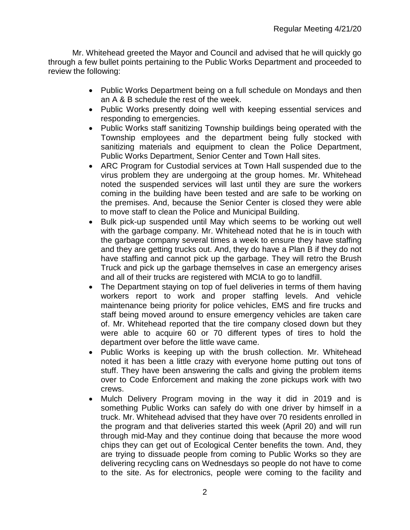Mr. Whitehead greeted the Mayor and Council and advised that he will quickly go through a few bullet points pertaining to the Public Works Department and proceeded to review the following:

- Public Works Department being on a full schedule on Mondays and then an A & B schedule the rest of the week.
- Public Works presently doing well with keeping essential services and responding to emergencies.
- Public Works staff sanitizing Township buildings being operated with the Township employees and the department being fully stocked with sanitizing materials and equipment to clean the Police Department, Public Works Department, Senior Center and Town Hall sites.
- ARC Program for Custodial services at Town Hall suspended due to the virus problem they are undergoing at the group homes. Mr. Whitehead noted the suspended services will last until they are sure the workers coming in the building have been tested and are safe to be working on the premises. And, because the Senior Center is closed they were able to move staff to clean the Police and Municipal Building.
- Bulk pick-up suspended until May which seems to be working out well with the garbage company. Mr. Whitehead noted that he is in touch with the garbage company several times a week to ensure they have staffing and they are getting trucks out. And, they do have a Plan B if they do not have staffing and cannot pick up the garbage. They will retro the Brush Truck and pick up the garbage themselves in case an emergency arises and all of their trucks are registered with MCIA to go to landfill.
- The Department staying on top of fuel deliveries in terms of them having workers report to work and proper staffing levels. And vehicle maintenance being priority for police vehicles, EMS and fire trucks and staff being moved around to ensure emergency vehicles are taken care of. Mr. Whitehead reported that the tire company closed down but they were able to acquire 60 or 70 different types of tires to hold the department over before the little wave came.
- Public Works is keeping up with the brush collection. Mr. Whitehead noted it has been a little crazy with everyone home putting out tons of stuff. They have been answering the calls and giving the problem items over to Code Enforcement and making the zone pickups work with two crews.
- Mulch Delivery Program moving in the way it did in 2019 and is something Public Works can safely do with one driver by himself in a truck. Mr. Whitehead advised that they have over 70 residents enrolled in the program and that deliveries started this week (April 20) and will run through mid-May and they continue doing that because the more wood chips they can get out of Ecological Center benefits the town. And, they are trying to dissuade people from coming to Public Works so they are delivering recycling cans on Wednesdays so people do not have to come to the site. As for electronics, people were coming to the facility and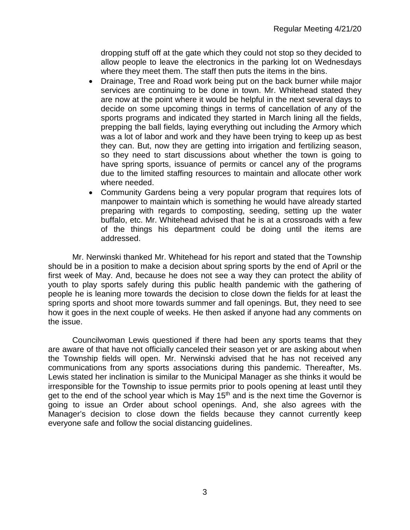dropping stuff off at the gate which they could not stop so they decided to allow people to leave the electronics in the parking lot on Wednesdays where they meet them. The staff then puts the items in the bins.

- Drainage, Tree and Road work being put on the back burner while major services are continuing to be done in town. Mr. Whitehead stated they are now at the point where it would be helpful in the next several days to decide on some upcoming things in terms of cancellation of any of the sports programs and indicated they started in March lining all the fields, prepping the ball fields, laying everything out including the Armory which was a lot of labor and work and they have been trying to keep up as best they can. But, now they are getting into irrigation and fertilizing season, so they need to start discussions about whether the town is going to have spring sports, issuance of permits or cancel any of the programs due to the limited staffing resources to maintain and allocate other work where needed.
- Community Gardens being a very popular program that requires lots of manpower to maintain which is something he would have already started preparing with regards to composting, seeding, setting up the water buffalo, etc. Mr. Whitehead advised that he is at a crossroads with a few of the things his department could be doing until the items are addressed.

Mr. Nerwinski thanked Mr. Whitehead for his report and stated that the Township should be in a position to make a decision about spring sports by the end of April or the first week of May. And, because he does not see a way they can protect the ability of youth to play sports safely during this public health pandemic with the gathering of people he is leaning more towards the decision to close down the fields for at least the spring sports and shoot more towards summer and fall openings. But, they need to see how it goes in the next couple of weeks. He then asked if anyone had any comments on the issue.

Councilwoman Lewis questioned if there had been any sports teams that they are aware of that have not officially canceled their season yet or are asking about when the Township fields will open. Mr. Nerwinski advised that he has not received any communications from any sports associations during this pandemic. Thereafter, Ms. Lewis stated her inclination is similar to the Municipal Manager as she thinks it would be irresponsible for the Township to issue permits prior to pools opening at least until they get to the end of the school year which is May  $15<sup>th</sup>$  and is the next time the Governor is going to issue an Order about school openings. And, she also agrees with the Manager's decision to close down the fields because they cannot currently keep everyone safe and follow the social distancing guidelines.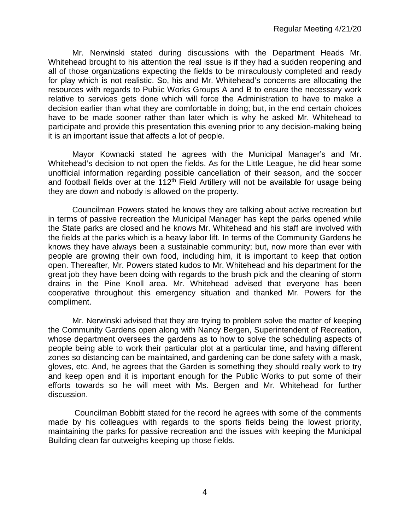Mr. Nerwinski stated during discussions with the Department Heads Mr. Whitehead brought to his attention the real issue is if they had a sudden reopening and all of those organizations expecting the fields to be miraculously completed and ready for play which is not realistic. So, his and Mr. Whitehead's concerns are allocating the resources with regards to Public Works Groups A and B to ensure the necessary work relative to services gets done which will force the Administration to have to make a decision earlier than what they are comfortable in doing; but, in the end certain choices have to be made sooner rather than later which is why he asked Mr. Whitehead to participate and provide this presentation this evening prior to any decision-making being it is an important issue that affects a lot of people.

Mayor Kownacki stated he agrees with the Municipal Manager's and Mr. Whitehead's decision to not open the fields. As for the Little League, he did hear some unofficial information regarding possible cancellation of their season, and the soccer and football fields over at the 112<sup>th</sup> Field Artillery will not be available for usage being they are down and nobody is allowed on the property.

Councilman Powers stated he knows they are talking about active recreation but in terms of passive recreation the Municipal Manager has kept the parks opened while the State parks are closed and he knows Mr. Whitehead and his staff are involved with the fields at the parks which is a heavy labor lift. In terms of the Community Gardens he knows they have always been a sustainable community; but, now more than ever with people are growing their own food, including him, it is important to keep that option open. Thereafter, Mr. Powers stated kudos to Mr. Whitehead and his department for the great job they have been doing with regards to the brush pick and the cleaning of storm drains in the Pine Knoll area. Mr. Whitehead advised that everyone has been cooperative throughout this emergency situation and thanked Mr. Powers for the compliment.

Mr. Nerwinski advised that they are trying to problem solve the matter of keeping the Community Gardens open along with Nancy Bergen, Superintendent of Recreation, whose department oversees the gardens as to how to solve the scheduling aspects of people being able to work their particular plot at a particular time, and having different zones so distancing can be maintained, and gardening can be done safety with a mask, gloves, etc. And, he agrees that the Garden is something they should really work to try and keep open and it is important enough for the Public Works to put some of their efforts towards so he will meet with Ms. Bergen and Mr. Whitehead for further discussion.

Councilman Bobbitt stated for the record he agrees with some of the comments made by his colleagues with regards to the sports fields being the lowest priority, maintaining the parks for passive recreation and the issues with keeping the Municipal Building clean far outweighs keeping up those fields.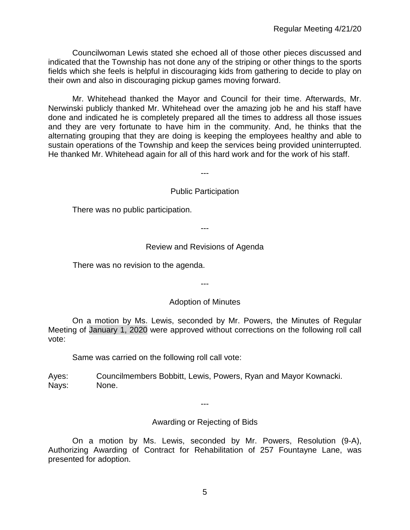Councilwoman Lewis stated she echoed all of those other pieces discussed and indicated that the Township has not done any of the striping or other things to the sports fields which she feels is helpful in discouraging kids from gathering to decide to play on their own and also in discouraging pickup games moving forward.

Mr. Whitehead thanked the Mayor and Council for their time. Afterwards, Mr. Nerwinski publicly thanked Mr. Whitehead over the amazing job he and his staff have done and indicated he is completely prepared all the times to address all those issues and they are very fortunate to have him in the community. And, he thinks that the alternating grouping that they are doing is keeping the employees healthy and able to sustain operations of the Township and keep the services being provided uninterrupted. He thanked Mr. Whitehead again for all of this hard work and for the work of his staff.

---

Public Participation

There was no public participation.

---

### Review and Revisions of Agenda

There was no revision to the agenda.

---

#### Adoption of Minutes

On a motion by Ms. Lewis, seconded by Mr. Powers, the Minutes of Regular Meeting of January 1, 2020 were approved without corrections on the following roll call vote:

Same was carried on the following roll call vote:

Ayes: Councilmembers Bobbitt, Lewis, Powers, Ryan and Mayor Kownacki. Nays: None.

---

Awarding or Rejecting of Bids

On a motion by Ms. Lewis, seconded by Mr. Powers, Resolution (9-A), Authorizing Awarding of Contract for Rehabilitation of 257 Fountayne Lane, was presented for adoption.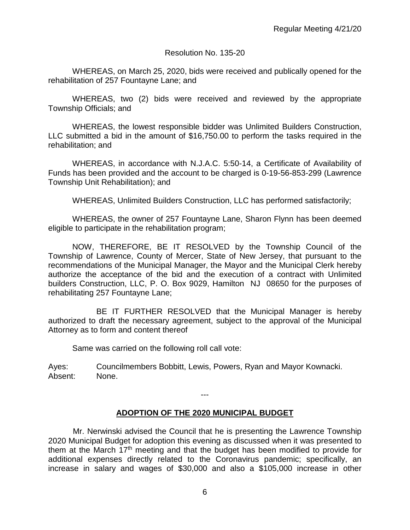#### Resolution No. 135-20

WHEREAS, on March 25, 2020, bids were received and publically opened for the rehabilitation of 257 Fountayne Lane; and

WHEREAS, two (2) bids were received and reviewed by the appropriate Township Officials; and

WHEREAS, the lowest responsible bidder was Unlimited Builders Construction, LLC submitted a bid in the amount of \$16,750.00 to perform the tasks required in the rehabilitation; and

WHEREAS, in accordance with N.J.A.C. 5:50-14, a Certificate of Availability of Funds has been provided and the account to be charged is 0-19-56-853-299 (Lawrence Township Unit Rehabilitation); and

WHEREAS, Unlimited Builders Construction, LLC has performed satisfactorily;

WHEREAS, the owner of 257 Fountayne Lane, Sharon Flynn has been deemed eligible to participate in the rehabilitation program;

NOW, THEREFORE, BE IT RESOLVED by the Township Council of the Township of Lawrence, County of Mercer, State of New Jersey, that pursuant to the recommendations of the Municipal Manager, the Mayor and the Municipal Clerk hereby authorize the acceptance of the bid and the execution of a contract with Unlimited builders Construction, LLC, P. O. Box 9029, Hamilton NJ 08650 for the purposes of rehabilitating 257 Fountayne Lane;

BE IT FURTHER RESOLVED that the Municipal Manager is hereby authorized to draft the necessary agreement, subject to the approval of the Municipal Attorney as to form and content thereof

Same was carried on the following roll call vote:

Ayes: Councilmembers Bobbitt, Lewis, Powers, Ryan and Mayor Kownacki. Absent: None.

#### ---

## **ADOPTION OF THE 2020 MUNICIPAL BUDGET**

Mr. Nerwinski advised the Council that he is presenting the Lawrence Township 2020 Municipal Budget for adoption this evening as discussed when it was presented to them at the March 17<sup>th</sup> meeting and that the budget has been modified to provide for additional expenses directly related to the Coronavirus pandemic; specifically, an increase in salary and wages of \$30,000 and also a \$105,000 increase in other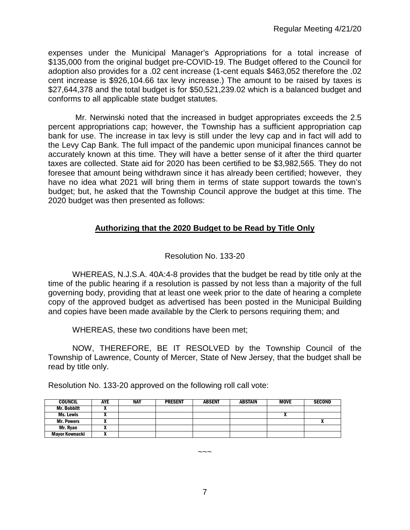expenses under the Municipal Manager's Appropriations for a total increase of \$135,000 from the original budget pre-COVID-19. The Budget offered to the Council for adoption also provides for a .02 cent increase (1-cent equals \$463,052 therefore the .02 cent increase is \$926,104.66 tax levy increase.) The amount to be raised by taxes is \$27,644,378 and the total budget is for \$50,521,239.02 which is a balanced budget and conforms to all applicable state budget statutes.

Mr. Nerwinski noted that the increased in budget appropriates exceeds the 2.5 percent appropriations cap; however, the Township has a sufficient appropriation cap bank for use. The increase in tax levy is still under the levy cap and in fact will add to the Levy Cap Bank. The full impact of the pandemic upon municipal finances cannot be accurately known at this time. They will have a better sense of it after the third quarter taxes are collected. State aid for 2020 has been certified to be \$3,982,565. They do not foresee that amount being withdrawn since it has already been certified; however, they have no idea what 2021 will bring them in terms of state support towards the town's budget; but, he asked that the Township Council approve the budget at this time. The 2020 budget was then presented as follows:

# **Authorizing that the 2020 Budget to be Read by Title Only**

# Resolution No. 133-20

WHEREAS, N.J.S.A. 40A:4-8 provides that the budget be read by title only at the time of the public hearing if a resolution is passed by not less than a majority of the full governing body, providing that at least one week prior to the date of hearing a complete copy of the approved budget as advertised has been posted in the Municipal Building and copies have been made available by the Clerk to persons requiring them; and

WHEREAS, these two conditions have been met;

NOW, THEREFORE, BE IT RESOLVED by the Township Council of the Township of Lawrence, County of Mercer, State of New Jersey, that the budget shall be read by title only.

| <b>COUNCIL</b>        | <b>AYE</b> | <b>NAY</b> | <b>PRESENT</b> | <b>ABSENT</b> | <b>ABSTAIN</b> | <b>MOVE</b>                | <b>SECOND</b> |
|-----------------------|------------|------------|----------------|---------------|----------------|----------------------------|---------------|
| <b>Mr. Bobbitt</b>    |            |            |                |               |                |                            |               |
| Ms. Lewis             | "          |            |                |               |                | $\boldsymbol{\mathcal{L}}$ |               |
| <b>Mr. Powers</b>     |            |            |                |               |                |                            |               |
| Mr. Ryan              |            |            |                |               |                |                            |               |
| <b>Mayor Kownacki</b> |            |            |                |               |                |                            |               |

Resolution No. 133-20 approved on the following roll call vote:

 $\sim\sim\sim$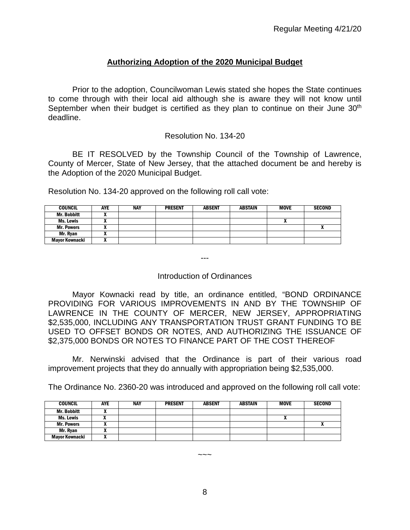# **Authorizing Adoption of the 2020 Municipal Budget**

Prior to the adoption, Councilwoman Lewis stated she hopes the State continues to come through with their local aid although she is aware they will not know until September when their budget is certified as they plan to continue on their June 30<sup>th</sup> deadline.

#### Resolution No. 134-20

BE IT RESOLVED by the Township Council of the Township of Lawrence, County of Mercer, State of New Jersey, that the attached document be and hereby is the Adoption of the 2020 Municipal Budget.

Resolution No. 134-20 approved on the following roll call vote:

| <b>COUNCIL</b>     | AYE | <b>NAY</b> | <b>PRESENT</b> | <b>ABSENT</b> | <b>ABSTAIN</b> | <b>MOVE</b> | <b>SECOND</b> |
|--------------------|-----|------------|----------------|---------------|----------------|-------------|---------------|
| <b>Mr. Bobbitt</b> |     |            |                |               |                |             |               |
| Ms. Lewis          |     |            |                |               |                | ^           |               |
| <b>Mr. Powers</b>  |     |            |                |               |                |             |               |
| Mr. Rvan           |     |            |                |               |                |             |               |
| Mayor Kownacki     |     |            |                |               |                |             |               |

---

#### Introduction of Ordinances

Mayor Kownacki read by title, an ordinance entitled, "BOND ORDINANCE PROVIDING FOR VARIOUS IMPROVEMENTS IN AND BY THE TOWNSHIP OF LAWRENCE IN THE COUNTY OF MERCER, NEW JERSEY, APPROPRIATING \$2,535,000, INCLUDING ANY TRANSPORTATION TRUST GRANT FUNDING TO BE USED TO OFFSET BONDS OR NOTES, AND AUTHORIZING THE ISSUANCE OF \$2,375,000 BONDS OR NOTES TO FINANCE PART OF THE COST THEREOF

Mr. Nerwinski advised that the Ordinance is part of their various road improvement projects that they do annually with appropriation being \$2,535,000.

The Ordinance No. 2360-20 was introduced and approved on the following roll call vote:

| <b>COUNCIL</b>     | <b>AYE</b> | <b>NAY</b> | <b>PRESENT</b> | <b>ABSENT</b> | <b>ABSTAIN</b> | <b>MOVE</b> | <b>SECOND</b> |
|--------------------|------------|------------|----------------|---------------|----------------|-------------|---------------|
| <b>Mr. Bobbitt</b> |            |            |                |               |                |             |               |
| Ms. Lewis          |            |            |                |               |                |             |               |
| <b>Mr. Powers</b>  |            |            |                |               |                |             |               |
| Mr. Ryan           |            |            |                |               |                |             |               |
| Mayor Kownacki     |            |            |                |               |                |             |               |

 $\sim\sim\sim$ 

8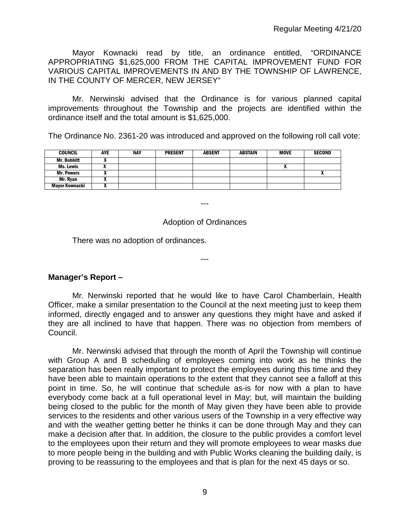Mayor Kownacki read by title, an ordinance entitled, "ORDINANCE APPROPRIATING \$1,625,000 FROM THE CAPITAL IMPROVEMENT FUND FOR VARIOUS CAPITAL IMPROVEMENTS IN AND BY THE TOWNSHIP OF LAWRENCE, IN THE COUNTY OF MERCER, NEW JERSEY"

Mr. Nerwinski advised that the Ordinance is for various planned capital improvements throughout the Township and the projects are identified within the ordinance itself and the total amount is \$1,625,000.

The Ordinance No. 2361-20 was introduced and approved on the following roll call vote:

| <b>COUNCIL</b>        | <b>AYE</b> | <b>NAY</b> | <b>PRESENT</b> | <b>ABSENT</b> | <b>ABSTAIN</b> | <b>MOVE</b> | <b>SECOND</b> |
|-----------------------|------------|------------|----------------|---------------|----------------|-------------|---------------|
| <b>Mr. Bobbitt</b>    |            |            |                |               |                |             |               |
| Ms. Lewis             |            |            |                |               |                |             |               |
| <b>Mr. Powers</b>     |            |            |                |               |                |             |               |
| Mr. Ryan              |            |            |                |               |                |             |               |
| <b>Mavor Kownacki</b> |            |            |                |               |                |             |               |

---

### Adoption of Ordinances

---

There was no adoption of ordinances.

## **Manager's Report –**

Mr. Nerwinski reported that he would like to have Carol Chamberlain, Health Officer, make a similar presentation to the Council at the next meeting just to keep them informed, directly engaged and to answer any questions they might have and asked if they are all inclined to have that happen. There was no objection from members of Council.

Mr. Nerwinski advised that through the month of April the Township will continue with Group A and B scheduling of employees coming into work as he thinks the separation has been really important to protect the employees during this time and they have been able to maintain operations to the extent that they cannot see a falloff at this point in time. So, he will continue that schedule as-is for now with a plan to have everybody come back at a full operational level in May; but, will maintain the building being closed to the public for the month of May given they have been able to provide services to the residents and other various users of the Township in a very effective way and with the weather getting better he thinks it can be done through May and they can make a decision after that. In addition, the closure to the public provides a comfort level to the employees upon their return and they will promote employees to wear masks due to more people being in the building and with Public Works cleaning the building daily, is proving to be reassuring to the employees and that is plan for the next 45 days or so.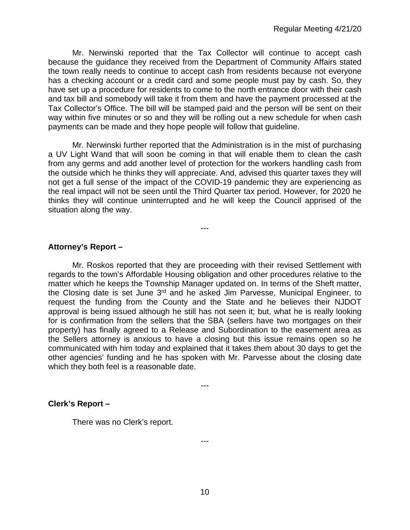Mr. Nerwinski reported that the Tax Collector will continue to accept cash because the guidance they received from the Department of Community Affairs stated the town really needs to continue to accept cash from residents because not everyone has a checking account or a credit card and some people must pay by cash. So, they have set up a procedure for residents to come to the north entrance door with their cash and tax bill and somebody will take it from them and have the payment processed at the Tax Collector's Office. The bill will be stamped paid and the person will be sent on their way within five minutes or so and they will be rolling out a new schedule for when cash payments can be made and they hope people will follow that guideline.

Mr. Nerwinski further reported that the Administration is in the mist of purchasing a UV Light Wand that will soon be coming in that will enable them to clean the cash from any germs and add another level of protection for the workers handling cash from the outside which he thinks they will appreciate. And, advised this quarter taxes they will not get a full sense of the impact of the COVID-19 pandemic they are experiencing as the real impact will not be seen until the Third Quarter tax period. However, for 2020 he thinks they will continue uninterrupted and he will keep the Council apprised of the situation along the way.

---

# **Attorney's Report –**

Mr. Roskos reported that they are proceeding with their revised Settlement with regards to the town's Affordable Housing obligation and other procedures relative to the matter which he keeps the Township Manager updated on. In terms of the Sheft matter, the Closing date is set June 3<sup>rd</sup> and he asked Jim Parvesse, Municipal Engineer, to request the funding from the County and the State and he believes their NJDOT approval is being issued although he still has not seen it; but, what he is really looking for is confirmation from the sellers that the SBA (sellers have two mortgages on their property) has finally agreed to a Release and Subordination to the easement area as the Sellers attorney is anxious to have a closing but this issue remains open so he communicated with him today and explained that it takes them about 30 days to get the other agencies' funding and he has spoken with Mr. Parvesse about the closing date which they both feel is a reasonable date.

---

## **Clerk's Report –**

There was no Clerk's report.

---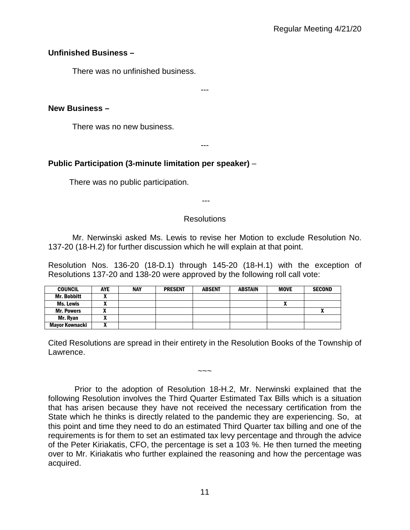# **Unfinished Business –**

There was no unfinished business.

---

# **New Business –**

There was no new business.

---

# **Public Participation (3-minute limitation per speaker)** –

There was no public participation.

---

# **Resolutions**

Mr. Nerwinski asked Ms. Lewis to revise her Motion to exclude Resolution No. 137-20 (18-H.2) for further discussion which he will explain at that point.

Resolution Nos. 136-20 (18-D.1) through 145-20 (18-H.1) with the exception of Resolutions 137-20 and 138-20 were approved by the following roll call vote:

| <b>COUNCIL</b>     | AYE | <b>NAY</b> | <b>PRESENT</b> | <b>ABSENT</b> | <b>ABSTAIN</b> | <b>MOVE</b> | <b>SECOND</b> |
|--------------------|-----|------------|----------------|---------------|----------------|-------------|---------------|
| <b>Mr. Bobbitt</b> |     |            |                |               |                |             |               |
| Ms. Lewis          |     |            |                |               |                |             |               |
| <b>Mr. Powers</b>  | ,,  |            |                |               |                |             |               |
| Mr. Ryan           | ,,, |            |                |               |                |             |               |
| Mayor Kownacki     |     |            |                |               |                |             |               |

Cited Resolutions are spread in their entirety in the Resolution Books of the Township of Lawrence.

 $\sim\sim\sim$ 

Prior to the adoption of Resolution 18-H.2, Mr. Nerwinski explained that the following Resolution involves the Third Quarter Estimated Tax Bills which is a situation that has arisen because they have not received the necessary certification from the State which he thinks is directly related to the pandemic they are experiencing. So, at this point and time they need to do an estimated Third Quarter tax billing and one of the requirements is for them to set an estimated tax levy percentage and through the advice of the Peter Kiriakatis, CFO, the percentage is set a 103 %. He then turned the meeting over to Mr. Kiriakatis who further explained the reasoning and how the percentage was acquired.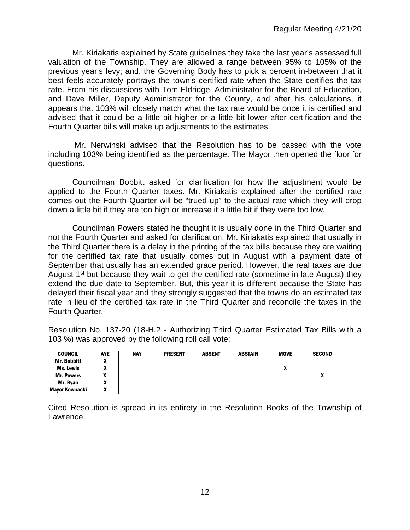Mr. Kiriakatis explained by State guidelines they take the last year's assessed full valuation of the Township. They are allowed a range between 95% to 105% of the previous year's levy; and, the Governing Body has to pick a percent in-between that it best feels accurately portrays the town's certified rate when the State certifies the tax rate. From his discussions with Tom Eldridge, Administrator for the Board of Education, and Dave Miller, Deputy Administrator for the County, and after his calculations, it appears that 103% will closely match what the tax rate would be once it is certified and advised that it could be a little bit higher or a little bit lower after certification and the Fourth Quarter bills will make up adjustments to the estimates.

Mr. Nerwinski advised that the Resolution has to be passed with the vote including 103% being identified as the percentage. The Mayor then opened the floor for questions.

Councilman Bobbitt asked for clarification for how the adjustment would be applied to the Fourth Quarter taxes. Mr. Kiriakatis explained after the certified rate comes out the Fourth Quarter will be "trued up" to the actual rate which they will drop down a little bit if they are too high or increase it a little bit if they were too low.

Councilman Powers stated he thought it is usually done in the Third Quarter and not the Fourth Quarter and asked for clarification. Mr. Kiriakatis explained that usually in the Third Quarter there is a delay in the printing of the tax bills because they are waiting for the certified tax rate that usually comes out in August with a payment date of September that usually has an extended grace period. However, the real taxes are due August  $1<sup>st</sup>$  but because they wait to get the certified rate (sometime in late August) they extend the due date to September. But, this year it is different because the State has delayed their fiscal year and they strongly suggested that the towns do an estimated tax rate in lieu of the certified tax rate in the Third Quarter and reconcile the taxes in the Fourth Quarter.

Resolution No. 137-20 (18-H.2 - Authorizing Third Quarter Estimated Tax Bills with a 103 %) was approved by the following roll call vote:

| <b>COUNCIL</b>     | <b>AYE</b> | NAY | <b>PRESENT</b> | <b>ABSENT</b> | <b>ABSTAIN</b> | <b>MOVE</b> | <b>SECOND</b> |
|--------------------|------------|-----|----------------|---------------|----------------|-------------|---------------|
| <b>Mr. Bobbitt</b> |            |     |                |               |                |             |               |
| Ms. Lewis          |            |     |                |               |                |             |               |
| <b>Mr. Powers</b>  |            |     |                |               |                |             | $\mathbf{v}$  |
| Mr. Ryan           |            |     |                |               |                |             |               |
| Mayor Kownacki     |            |     |                |               |                |             |               |

Cited Resolution is spread in its entirety in the Resolution Books of the Township of Lawrence.